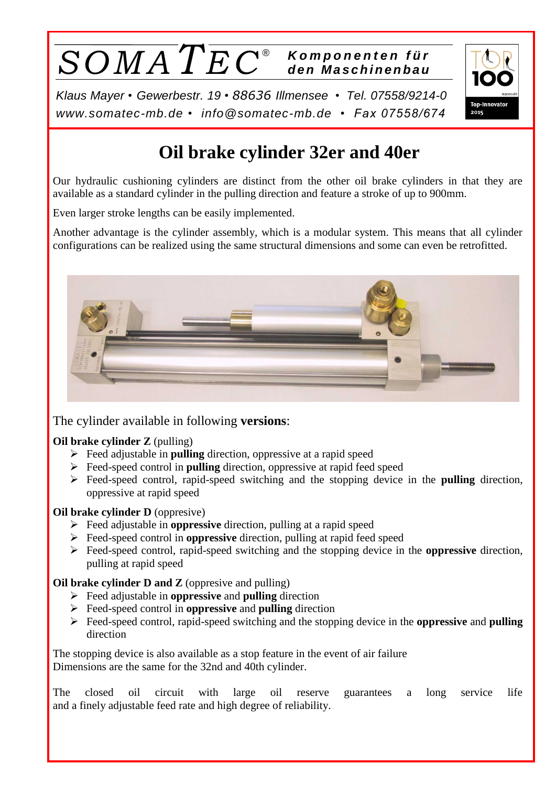# $\overline{SOMA\,TE\,C^{\circ}}$  *Komponenten für* ®

2015

*Klaus Mayer • Gewerbestr. 19* • *88636 Illmensee • Tel. 07558/9214-0 [www.somatec-mb.de](http://www.somatec-mb.de/) • [info@somatec-mb.de](mailto:info@somatec-mb.de) • Fax 07558/674*

# **Oil brake cylinder 32er and 40er**

Our hydraulic cushioning cylinders are distinct from the other oil brake cylinders in that they are available as a standard cylinder in the pulling direction and feature a stroke of up to 900mm.

Even larger stroke lengths can be easily implemented.

Another advantage is the cylinder assembly, which is a modular system. This means that all cylinder configurations can be realized using the same structural dimensions and some can even be retrofitted.



The cylinder available in following **versions**:

### **Oil brake cylinder Z** (pulling)

- Feed adjustable in **pulling** direction, oppressive at a rapid speed
- Feed-speed control in **pulling** direction, oppressive at rapid feed speed
- Feed-speed control, rapid-speed switching and the stopping device in the **pulling** direction, oppressive at rapid speed

### **Oil brake cylinder D** (oppresive)

- Feed adjustable in **oppressive** direction, pulling at a rapid speed
- Feed-speed control in **oppressive** direction, pulling at rapid feed speed
- Feed-speed control, rapid-speed switching and the stopping device in the **oppressive** direction, pulling at rapid speed

### **Oil brake cylinder D and Z** (oppresive and pulling)

- Feed adjustable in **oppressive** and **pulling** direction
- Feed-speed control in **oppressive** and **pulling** direction
- Feed-speed control, rapid-speed switching and the stopping device in the **oppressive** and **pulling** direction

The stopping device is also available as a stop feature in the event of air failure Dimensions are the same for the 32nd and 40th cylinder.

The closed oil circuit with large oil reserve guarantees a long service life and a finely adjustable feed rate and high degree of reliability.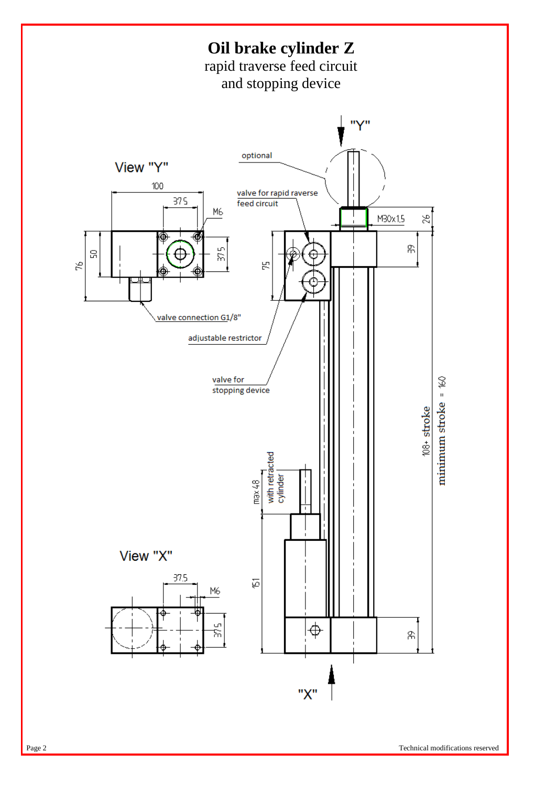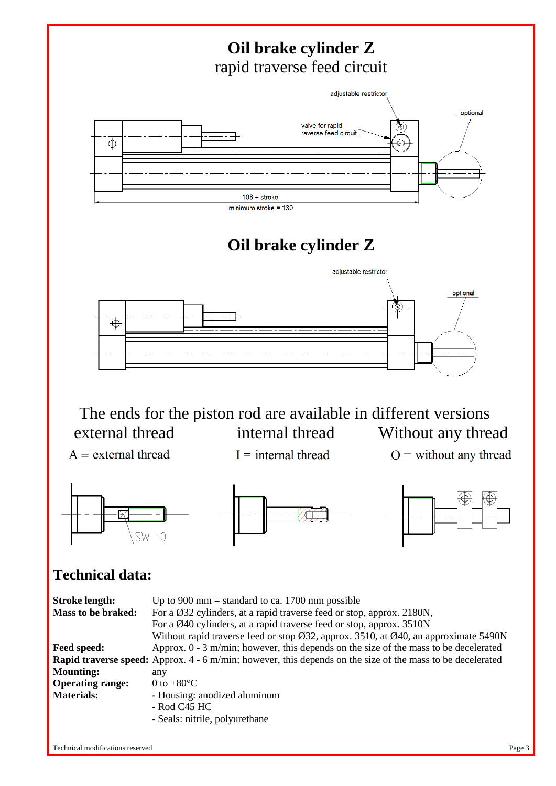

<sup>-</sup> Rod C45 HC

- Seals: nitrile, polyurethane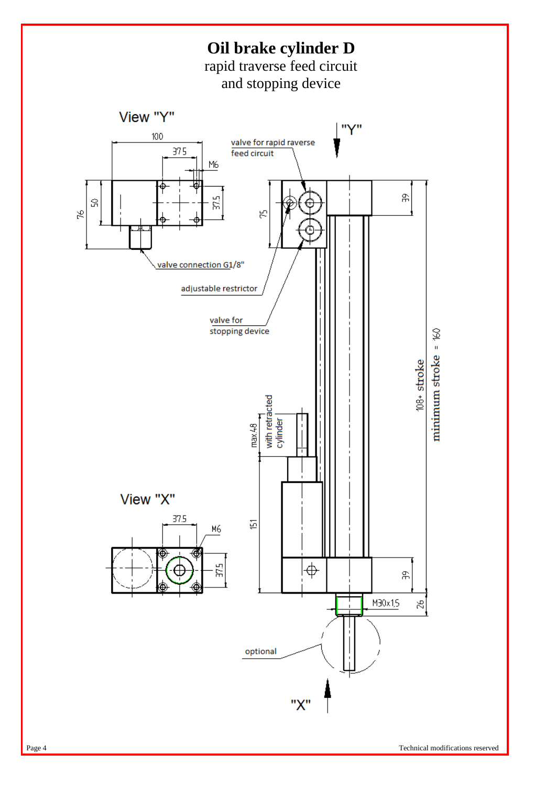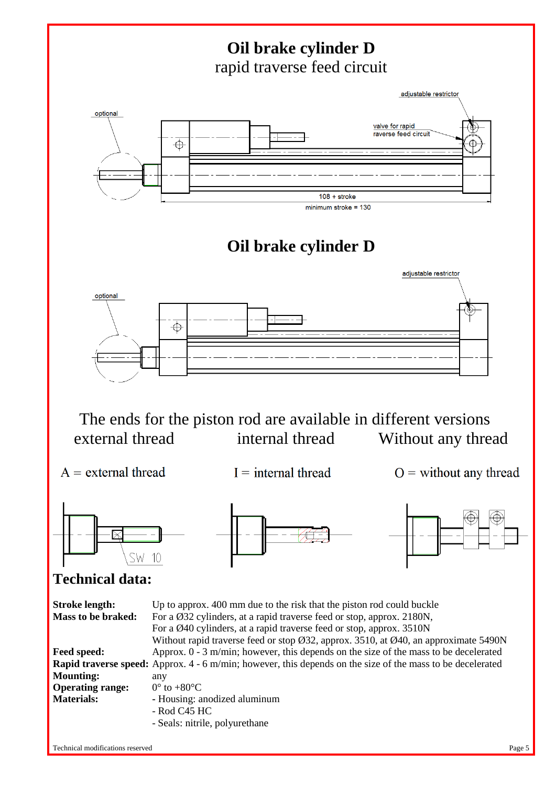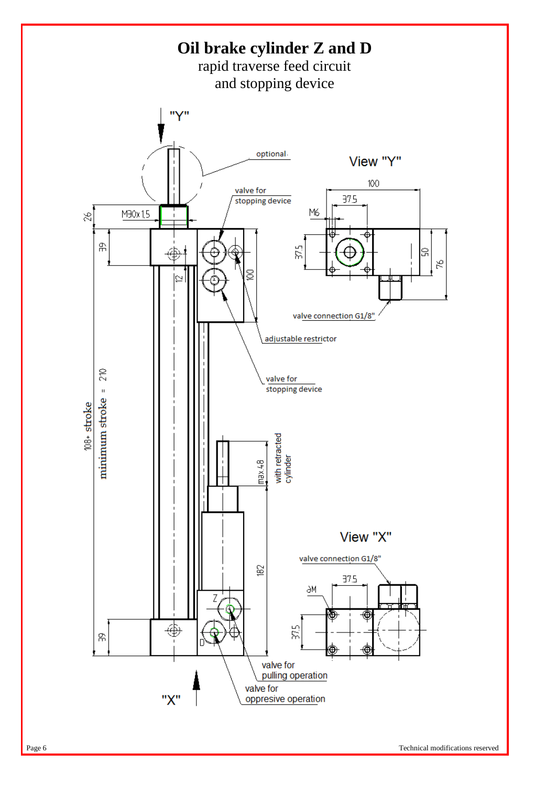